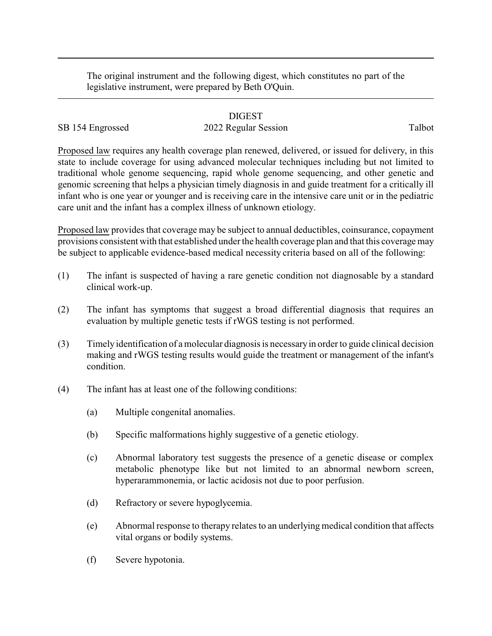The original instrument and the following digest, which constitutes no part of the legislative instrument, were prepared by Beth O'Quin.

## DIGEST

## SB 154 Engrossed 2022 Regular Session Talbot

Proposed law requires any health coverage plan renewed, delivered, or issued for delivery, in this state to include coverage for using advanced molecular techniques including but not limited to traditional whole genome sequencing, rapid whole genome sequencing, and other genetic and genomic screening that helps a physician timely diagnosis in and guide treatment for a critically ill infant who is one year or younger and is receiving care in the intensive care unit or in the pediatric care unit and the infant has a complex illness of unknown etiology.

Proposed law provides that coverage may be subject to annual deductibles, coinsurance, copayment provisions consistent with that established under the health coverage plan and that this coverage may be subject to applicable evidence-based medical necessity criteria based on all of the following:

- (1) The infant is suspected of having a rare genetic condition not diagnosable by a standard clinical work-up.
- (2) The infant has symptoms that suggest a broad differential diagnosis that requires an evaluation by multiple genetic tests if rWGS testing is not performed.
- (3) Timely identification of a molecular diagnosis is necessaryin order to guide clinical decision making and rWGS testing results would guide the treatment or management of the infant's condition.
- (4) The infant has at least one of the following conditions:
	- (a) Multiple congenital anomalies.
	- (b) Specific malformations highly suggestive of a genetic etiology.
	- (c) Abnormal laboratory test suggests the presence of a genetic disease or complex metabolic phenotype like but not limited to an abnormal newborn screen, hyperarammonemia, or lactic acidosis not due to poor perfusion.
	- (d) Refractory or severe hypoglycemia.
	- (e) Abnormal response to therapy relates to an underlying medical condition that affects vital organs or bodily systems.
	- (f) Severe hypotonia.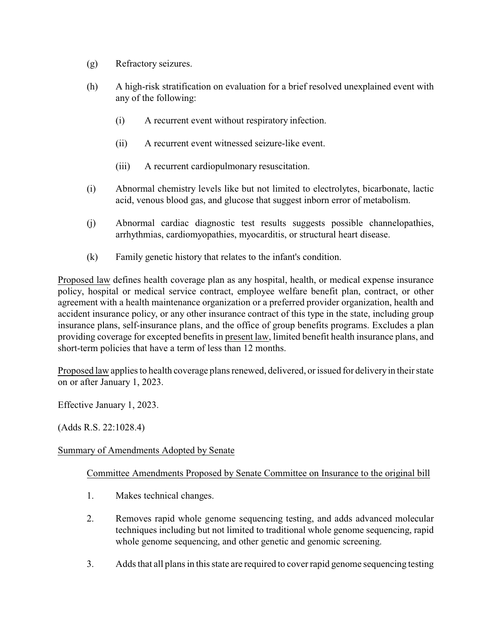- (g) Refractory seizures.
- (h) A high-risk stratification on evaluation for a brief resolved unexplained event with any of the following:
	- (i) A recurrent event without respiratory infection.
	- (ii) A recurrent event witnessed seizure-like event.
	- (iii) A recurrent cardiopulmonary resuscitation.
- (i) Abnormal chemistry levels like but not limited to electrolytes, bicarbonate, lactic acid, venous blood gas, and glucose that suggest inborn error of metabolism.
- (j) Abnormal cardiac diagnostic test results suggests possible channelopathies, arrhythmias, cardiomyopathies, myocarditis, or structural heart disease.
- (k) Family genetic history that relates to the infant's condition.

Proposed law defines health coverage plan as any hospital, health, or medical expense insurance policy, hospital or medical service contract, employee welfare benefit plan, contract, or other agreement with a health maintenance organization or a preferred provider organization, health and accident insurance policy, or any other insurance contract of this type in the state, including group insurance plans, self-insurance plans, and the office of group benefits programs. Excludes a plan providing coverage for excepted benefits in present law, limited benefit health insurance plans, and short-term policies that have a term of less than 12 months.

Proposed law applies to health coverage plans renewed, delivered, or issued for delivery in their state on or after January 1, 2023.

Effective January 1, 2023.

(Adds R.S. 22:1028.4)

## Summary of Amendments Adopted by Senate

## Committee Amendments Proposed by Senate Committee on Insurance to the original bill

- 1. Makes technical changes.
- 2. Removes rapid whole genome sequencing testing, and adds advanced molecular techniques including but not limited to traditional whole genome sequencing, rapid whole genome sequencing, and other genetic and genomic screening.
- 3. Adds that all plans in this state are required to cover rapid genome sequencing testing